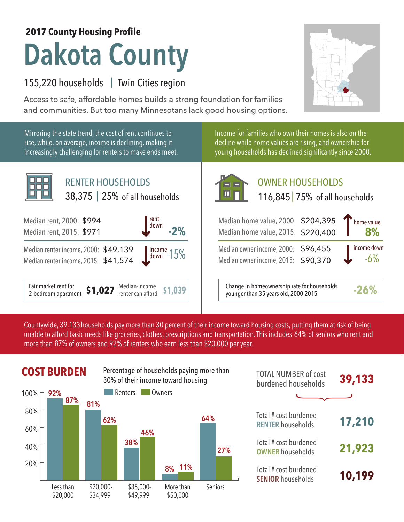## **Dakota County 2017 County Housing Profile**

## 155,220 households | Twin Cities region

Mirroring the state trend, the cost of rent continues to rise, while, on average, income is declining, making it increasingly challenging for renters to make ends meet.

Access to safe, affordable homes builds a strong foundation for families and communities. But too many Minnesotans lack good housing options.

> Income for families who own their homes is also on the decline while home values are rising, and ownership for young households has declined significantly since 2000.



## OWNER HOUSEHOLDS

| rent<br>down<br>$-2%$                             | Median home value, 2000: \$204,395<br>Median home value, 2015: \$220,400            | Thome value           |
|---------------------------------------------------|-------------------------------------------------------------------------------------|-----------------------|
| $\frac{139}{574}$ $\frac{1}{30}$ $\frac{1}{15\%}$ | Median owner income, 2000: \$96,455<br>Median owner income, 2015: \$90,370          | income down<br>$-6\%$ |
| Median-income<br>\$1,039<br>renter can afford     | Change in homeownership rate for households<br>younger than 35 years old, 2000-2015 | $-26%$                |

Countywide, 39,133 households pay more than 30 percent of their income toward housing costs, putting them at risk of being unable to afford basic needs like groceries, clothes, prescriptions and transportation. This includes 64% of seniors who rent and more than 87% of owners and 92% of renters who earn less than \$20,000 per year.



| <b>TOTAL NUMBER of cost</b><br>burdened households | 39,133 |
|----------------------------------------------------|--------|
|                                                    |        |
| Total # cost burdened<br><b>RENTER households</b>  | 17,210 |
| Total # cost burdened<br><b>OWNER households</b>   | 21,923 |
| Total # cost burdened<br><b>SENIOR households</b>  | 10,199 |